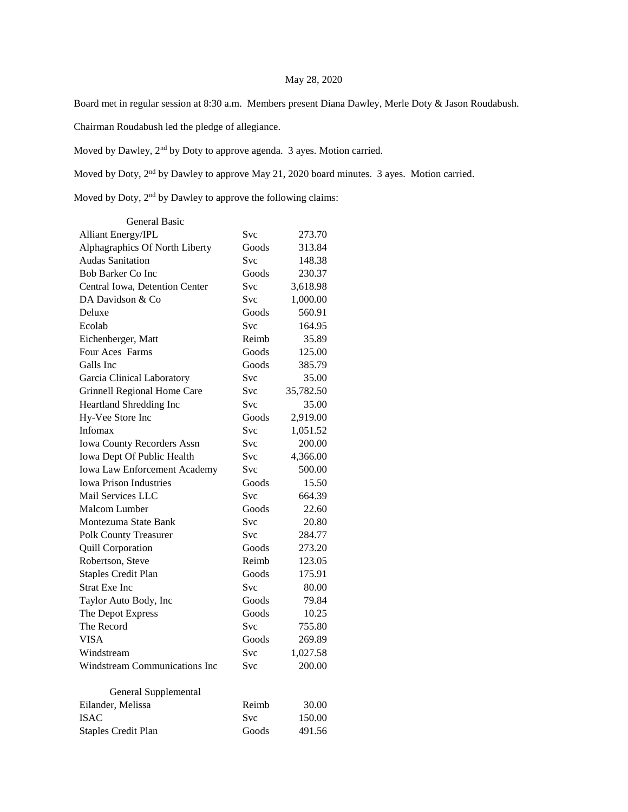## May 28, 2020

Board met in regular session at 8:30 a.m. Members present Diana Dawley, Merle Doty & Jason Roudabush.

Chairman Roudabush led the pledge of allegiance.

Moved by Dawley, 2nd by Doty to approve agenda. 3 ayes. Motion carried.

Moved by Doty, 2nd by Dawley to approve May 21, 2020 board minutes. 3 ayes. Motion carried.

Moved by Doty, 2<sup>nd</sup> by Dawley to approve the following claims:

| <b>General Basic</b>                 |            |           |
|--------------------------------------|------------|-----------|
| <b>Alliant Energy/IPL</b>            | Svc        | 273.70    |
| Alphagraphics Of North Liberty       | Goods      | 313.84    |
| <b>Audas Sanitation</b>              | Svc        | 148.38    |
| <b>Bob Barker Co Inc</b>             | Goods      | 230.37    |
| Central Iowa, Detention Center       | Svc        | 3,618.98  |
| DA Davidson & Co                     | Svc        | 1,000.00  |
| Deluxe                               | Goods      | 560.91    |
| Ecolab                               | <b>Svc</b> | 164.95    |
| Eichenberger, Matt                   | Reimb      | 35.89     |
| Four Aces Farms                      | Goods      | 125.00    |
| Galls Inc                            | Goods      | 385.79    |
| Garcia Clinical Laboratory           | Svc        | 35.00     |
| Grinnell Regional Home Care          | Svc        | 35,782.50 |
| Heartland Shredding Inc              | Svc        | 35.00     |
| Hy-Vee Store Inc                     | Goods      | 2,919.00  |
| Infomax                              | Svc        | 1,051.52  |
| <b>Iowa County Recorders Assn</b>    | Svc        | 200.00    |
| Iowa Dept Of Public Health           | Svc        | 4,366.00  |
| <b>Iowa Law Enforcement Academy</b>  | Svc        | 500.00    |
| <b>Iowa Prison Industries</b>        | Goods      | 15.50     |
| Mail Services LLC                    | Svc        | 664.39    |
| Malcom Lumber                        | Goods      | 22.60     |
| Montezuma State Bank                 | <b>Svc</b> | 20.80     |
| <b>Polk County Treasurer</b>         | <b>Svc</b> | 284.77    |
| Quill Corporation                    | Goods      | 273.20    |
| Robertson, Steve                     | Reimb      | 123.05    |
| <b>Staples Credit Plan</b>           | Goods      | 175.91    |
| <b>Strat Exe Inc</b>                 | <b>Svc</b> | 80.00     |
| Taylor Auto Body, Inc                | Goods      | 79.84     |
| The Depot Express                    | Goods      | 10.25     |
| The Record                           | Svc        | 755.80    |
| <b>VISA</b>                          | Goods      | 269.89    |
| Windstream                           | Svc        | 1,027.58  |
| <b>Windstream Communications Inc</b> | Svc        | 200.00    |
| General Supplemental                 |            |           |
| Eilander, Melissa                    | Reimb      | 30.00     |
| <b>ISAC</b>                          | <b>Svc</b> | 150.00    |
| <b>Staples Credit Plan</b>           | Goods      | 491.56    |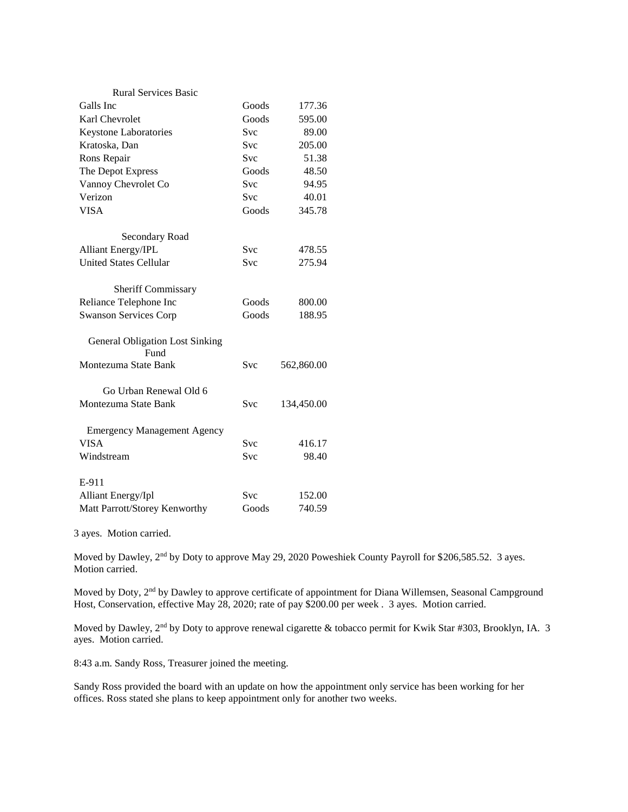| <b>Rural Services Basic</b>                    |            |            |
|------------------------------------------------|------------|------------|
| Galls Inc                                      | Goods      | 177.36     |
| Karl Chevrolet                                 | Goods      | 595.00     |
| Keystone Laboratories                          | <b>Svc</b> | 89.00      |
| Kratoska, Dan                                  | Svc        | 205.00     |
| Rons Repair                                    | <b>Svc</b> | 51.38      |
| The Depot Express                              | Goods      | 48.50      |
| Vannoy Chevrolet Co                            | <b>Svc</b> | 94.95      |
| Verizon                                        | <b>Svc</b> | 40.01      |
| <b>VISA</b>                                    | Goods      | 345.78     |
| Secondary Road                                 |            |            |
| <b>Alliant Energy/IPL</b>                      | <b>Svc</b> | 478.55     |
| <b>United States Cellular</b>                  | <b>Svc</b> | 275.94     |
| Sheriff Commissary                             |            |            |
| Reliance Telephone Inc                         | Goods      | 800.00     |
| <b>Swanson Services Corp</b>                   | Goods      | 188.95     |
| <b>General Obligation Lost Sinking</b><br>Fund |            |            |
| Montezuma State Bank                           | <b>Svc</b> | 562,860.00 |
| Go Urban Renewal Old 6                         |            |            |
| Montezuma State Bank                           | Svc        | 134,450.00 |
| <b>Emergency Management Agency</b>             |            |            |
| <b>VISA</b>                                    | <b>Svc</b> | 416.17     |
| Windstream                                     | <b>Svc</b> | 98.40      |
| E-911                                          |            |            |
| <b>Alliant Energy/Ipl</b>                      | <b>Svc</b> | 152.00     |
| Matt Parrott/Storey Kenworthy                  | Goods      | 740.59     |

3 ayes. Motion carried.

Moved by Dawley, 2<sup>nd</sup> by Doty to approve May 29, 2020 Poweshiek County Payroll for \$206,585.52. 3 ayes. Motion carried.

Moved by Doty, 2<sup>nd</sup> by Dawley to approve certificate of appointment for Diana Willemsen, Seasonal Campground Host, Conservation, effective May 28, 2020; rate of pay \$200.00 per week . 3 ayes. Motion carried.

Moved by Dawley, 2<sup>nd</sup> by Doty to approve renewal cigarette & tobacco permit for Kwik Star #303, Brooklyn, IA. 3 ayes. Motion carried.

8:43 a.m. Sandy Ross, Treasurer joined the meeting.

Sandy Ross provided the board with an update on how the appointment only service has been working for her offices. Ross stated she plans to keep appointment only for another two weeks.